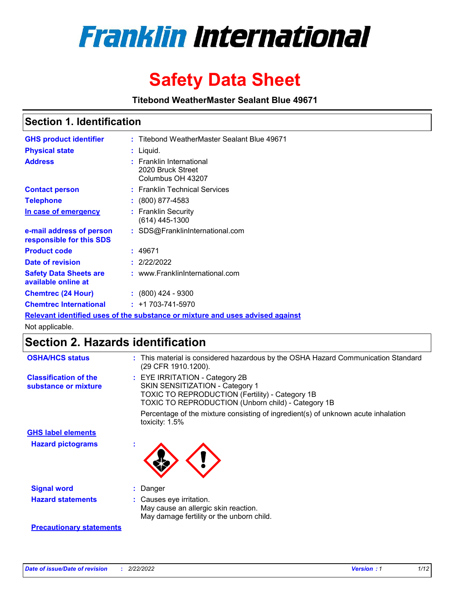

# **Safety Data Sheet**

**Titebond WeatherMaster Sealant Blue 49671**

### **Section 1. Identification**

| <b>GHS product identifier</b>                                                 | : Titebond WeatherMaster Sealant Blue 49671                        |  |  |  |  |
|-------------------------------------------------------------------------------|--------------------------------------------------------------------|--|--|--|--|
| <b>Physical state</b>                                                         | : Liquid.                                                          |  |  |  |  |
| <b>Address</b>                                                                | : Franklin International<br>2020 Bruck Street<br>Columbus OH 43207 |  |  |  |  |
| <b>Contact person</b>                                                         | : Franklin Technical Services                                      |  |  |  |  |
| <b>Telephone</b>                                                              | $\colon$ (800) 877-4583                                            |  |  |  |  |
| In case of emergency                                                          | : Franklin Security<br>(614) 445-1300                              |  |  |  |  |
| e-mail address of person<br>responsible for this SDS                          | : SDS@FranklinInternational.com                                    |  |  |  |  |
| <b>Product code</b>                                                           | : 49671                                                            |  |  |  |  |
| Date of revision                                                              | : 2/22/2022                                                        |  |  |  |  |
| <b>Safety Data Sheets are</b><br>available online at                          | : www.FranklinInternational.com                                    |  |  |  |  |
| <b>Chemtrec (24 Hour)</b>                                                     | $: (800)$ 424 - 9300                                               |  |  |  |  |
| <b>Chemtrec International</b>                                                 | $: +1703 - 741 - 5970$                                             |  |  |  |  |
| Relevant identified uses of the substance or mixture and uses advised against |                                                                    |  |  |  |  |

Not applicable.

## **Section 2. Hazards identification**

| <b>OSHA/HCS status</b>                               | : This material is considered hazardous by the OSHA Hazard Communication Standard<br>(29 CFR 1910.1200).                                                                                 |
|------------------------------------------------------|------------------------------------------------------------------------------------------------------------------------------------------------------------------------------------------|
| <b>Classification of the</b><br>substance or mixture | : EYE IRRITATION - Category 2B<br>SKIN SENSITIZATION - Category 1<br><b>TOXIC TO REPRODUCTION (Fertility) - Category 1B</b><br><b>TOXIC TO REPRODUCTION (Unborn child) - Category 1B</b> |
|                                                      | Percentage of the mixture consisting of ingredient(s) of unknown acute inhalation<br>toxicity: $1.5\%$                                                                                   |
| <b>GHS label elements</b>                            |                                                                                                                                                                                          |
| <b>Hazard pictograms</b>                             |                                                                                                                                                                                          |
| <b>Signal word</b>                                   | : Danger                                                                                                                                                                                 |
| <b>Hazard statements</b>                             | : Causes eye irritation.<br>May cause an allergic skin reaction.<br>May damage fertility or the unborn child.                                                                            |
| <b>Precautionary statements</b>                      |                                                                                                                                                                                          |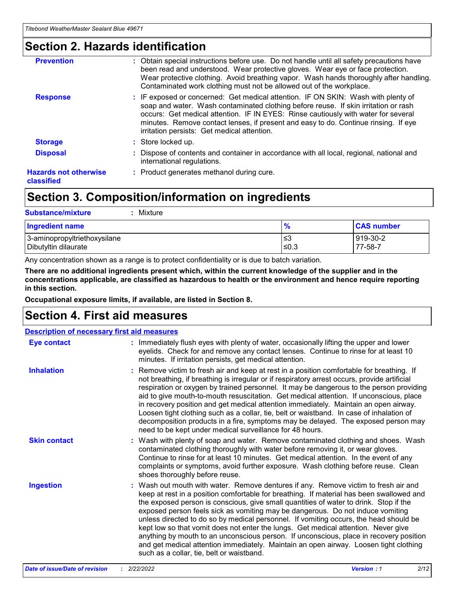### **Section 2. Hazards identification**

| <b>Prevention</b>                          | : Obtain special instructions before use. Do not handle until all safety precautions have<br>been read and understood. Wear protective gloves. Wear eye or face protection.<br>Wear protective clothing. Avoid breathing vapor. Wash hands thoroughly after handling.<br>Contaminated work clothing must not be allowed out of the workplace.                                                        |
|--------------------------------------------|------------------------------------------------------------------------------------------------------------------------------------------------------------------------------------------------------------------------------------------------------------------------------------------------------------------------------------------------------------------------------------------------------|
| <b>Response</b>                            | : IF exposed or concerned: Get medical attention. IF ON SKIN: Wash with plenty of<br>soap and water. Wash contaminated clothing before reuse. If skin irritation or rash<br>occurs: Get medical attention. IF IN EYES: Rinse cautiously with water for several<br>minutes. Remove contact lenses, if present and easy to do. Continue rinsing. If eye<br>irritation persists: Get medical attention. |
| <b>Storage</b>                             | : Store locked up.                                                                                                                                                                                                                                                                                                                                                                                   |
| <b>Disposal</b>                            | : Dispose of contents and container in accordance with all local, regional, national and<br>international regulations.                                                                                                                                                                                                                                                                               |
| <b>Hazards not otherwise</b><br>classified | : Product generates methanol during cure.                                                                                                                                                                                                                                                                                                                                                            |
|                                            |                                                                                                                                                                                                                                                                                                                                                                                                      |

### **Section 3. Composition/information on ingredients**

| <b>Substance/mixture</b><br>Mixture                  |               |                     |
|------------------------------------------------------|---------------|---------------------|
| <b>Ingredient name</b>                               | $\frac{9}{6}$ | <b>CAS number</b>   |
| 3-aminopropyltriethoxysilane<br>Dibutyltin dilaurate | ≤3<br>$≤0.3$  | 919-30-2<br>77-58-7 |

Any concentration shown as a range is to protect confidentiality or is due to batch variation.

**There are no additional ingredients present which, within the current knowledge of the supplier and in the concentrations applicable, are classified as hazardous to health or the environment and hence require reporting in this section.**

**Occupational exposure limits, if available, are listed in Section 8.**

### **Section 4. First aid measures**

| <b>Description of necessary first aid measures</b> |                                                                                                                                                                                                                                                                                                                                                                                                                                                                                                                                                                                                                                                                                                                                                                           |  |  |  |
|----------------------------------------------------|---------------------------------------------------------------------------------------------------------------------------------------------------------------------------------------------------------------------------------------------------------------------------------------------------------------------------------------------------------------------------------------------------------------------------------------------------------------------------------------------------------------------------------------------------------------------------------------------------------------------------------------------------------------------------------------------------------------------------------------------------------------------------|--|--|--|
| <b>Eye contact</b>                                 | : Immediately flush eyes with plenty of water, occasionally lifting the upper and lower<br>eyelids. Check for and remove any contact lenses. Continue to rinse for at least 10<br>minutes. If irritation persists, get medical attention.                                                                                                                                                                                                                                                                                                                                                                                                                                                                                                                                 |  |  |  |
| <b>Inhalation</b>                                  | : Remove victim to fresh air and keep at rest in a position comfortable for breathing. If<br>not breathing, if breathing is irregular or if respiratory arrest occurs, provide artificial<br>respiration or oxygen by trained personnel. It may be dangerous to the person providing<br>aid to give mouth-to-mouth resuscitation. Get medical attention. If unconscious, place<br>in recovery position and get medical attention immediately. Maintain an open airway.<br>Loosen tight clothing such as a collar, tie, belt or waistband. In case of inhalation of<br>decomposition products in a fire, symptoms may be delayed. The exposed person may<br>need to be kept under medical surveillance for 48 hours.                                                       |  |  |  |
| <b>Skin contact</b>                                | : Wash with plenty of soap and water. Remove contaminated clothing and shoes. Wash<br>contaminated clothing thoroughly with water before removing it, or wear gloves.<br>Continue to rinse for at least 10 minutes. Get medical attention. In the event of any<br>complaints or symptoms, avoid further exposure. Wash clothing before reuse. Clean<br>shoes thoroughly before reuse.                                                                                                                                                                                                                                                                                                                                                                                     |  |  |  |
| <b>Ingestion</b>                                   | : Wash out mouth with water. Remove dentures if any. Remove victim to fresh air and<br>keep at rest in a position comfortable for breathing. If material has been swallowed and<br>the exposed person is conscious, give small quantities of water to drink. Stop if the<br>exposed person feels sick as vomiting may be dangerous. Do not induce vomiting<br>unless directed to do so by medical personnel. If vomiting occurs, the head should be<br>kept low so that vomit does not enter the lungs. Get medical attention. Never give<br>anything by mouth to an unconscious person. If unconscious, place in recovery position<br>and get medical attention immediately. Maintain an open airway. Loosen tight clothing<br>such as a collar, tie, belt or waistband. |  |  |  |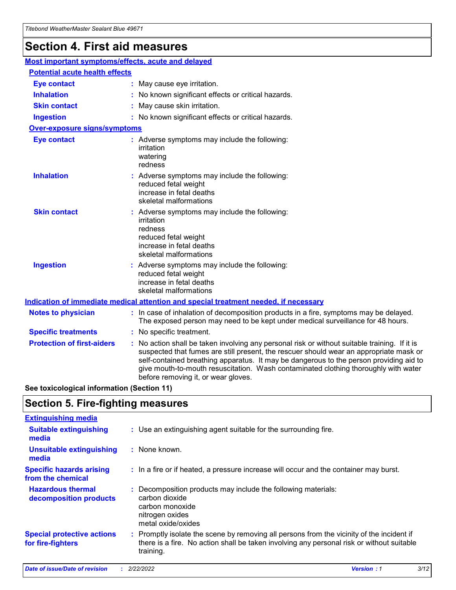### **Section 4. First aid measures**

| Most important symptoms/effects, acute and delayed |  |                                                                                                                                                                                                                                                                                                                                                                                                                 |  |  |
|----------------------------------------------------|--|-----------------------------------------------------------------------------------------------------------------------------------------------------------------------------------------------------------------------------------------------------------------------------------------------------------------------------------------------------------------------------------------------------------------|--|--|
| <b>Potential acute health effects</b>              |  |                                                                                                                                                                                                                                                                                                                                                                                                                 |  |  |
| <b>Eye contact</b>                                 |  | : May cause eye irritation.                                                                                                                                                                                                                                                                                                                                                                                     |  |  |
| <b>Inhalation</b>                                  |  | : No known significant effects or critical hazards.                                                                                                                                                                                                                                                                                                                                                             |  |  |
| <b>Skin contact</b>                                |  | : May cause skin irritation.                                                                                                                                                                                                                                                                                                                                                                                    |  |  |
| <b>Ingestion</b>                                   |  | : No known significant effects or critical hazards.                                                                                                                                                                                                                                                                                                                                                             |  |  |
| <b>Over-exposure signs/symptoms</b>                |  |                                                                                                                                                                                                                                                                                                                                                                                                                 |  |  |
| <b>Eye contact</b>                                 |  | : Adverse symptoms may include the following:<br>irritation<br>watering<br>redness                                                                                                                                                                                                                                                                                                                              |  |  |
| <b>Inhalation</b>                                  |  | : Adverse symptoms may include the following:<br>reduced fetal weight<br>increase in fetal deaths<br>skeletal malformations                                                                                                                                                                                                                                                                                     |  |  |
| <b>Skin contact</b>                                |  | : Adverse symptoms may include the following:<br>irritation<br>redness<br>reduced fetal weight<br>increase in fetal deaths<br>skeletal malformations                                                                                                                                                                                                                                                            |  |  |
| <b>Ingestion</b>                                   |  | : Adverse symptoms may include the following:<br>reduced fetal weight<br>increase in fetal deaths<br>skeletal malformations                                                                                                                                                                                                                                                                                     |  |  |
|                                                    |  | <b>Indication of immediate medical attention and special treatment needed, if necessary</b>                                                                                                                                                                                                                                                                                                                     |  |  |
| <b>Notes to physician</b>                          |  | : In case of inhalation of decomposition products in a fire, symptoms may be delayed.<br>The exposed person may need to be kept under medical surveillance for 48 hours.                                                                                                                                                                                                                                        |  |  |
| <b>Specific treatments</b>                         |  | : No specific treatment.                                                                                                                                                                                                                                                                                                                                                                                        |  |  |
| <b>Protection of first-aiders</b>                  |  | : No action shall be taken involving any personal risk or without suitable training. If it is<br>suspected that fumes are still present, the rescuer should wear an appropriate mask or<br>self-contained breathing apparatus. It may be dangerous to the person providing aid to<br>give mouth-to-mouth resuscitation. Wash contaminated clothing thoroughly with water<br>before removing it, or wear gloves. |  |  |

**See toxicological information (Section 11)**

### **Section 5. Fire-fighting measures**

| <b>Extinguishing media</b>                             |                                                                                                                                                                                                     |
|--------------------------------------------------------|-----------------------------------------------------------------------------------------------------------------------------------------------------------------------------------------------------|
| <b>Suitable extinguishing</b><br>media                 | : Use an extinguishing agent suitable for the surrounding fire.                                                                                                                                     |
| <b>Unsuitable extinguishing</b><br>media               | : None known.                                                                                                                                                                                       |
| <b>Specific hazards arising</b><br>from the chemical   | : In a fire or if heated, a pressure increase will occur and the container may burst.                                                                                                               |
| <b>Hazardous thermal</b><br>decomposition products     | : Decomposition products may include the following materials:<br>carbon dioxide<br>carbon monoxide<br>nitrogen oxides<br>metal oxide/oxides                                                         |
| <b>Special protective actions</b><br>for fire-fighters | : Promptly isolate the scene by removing all persons from the vicinity of the incident if<br>there is a fire. No action shall be taken involving any personal risk or without suitable<br>training. |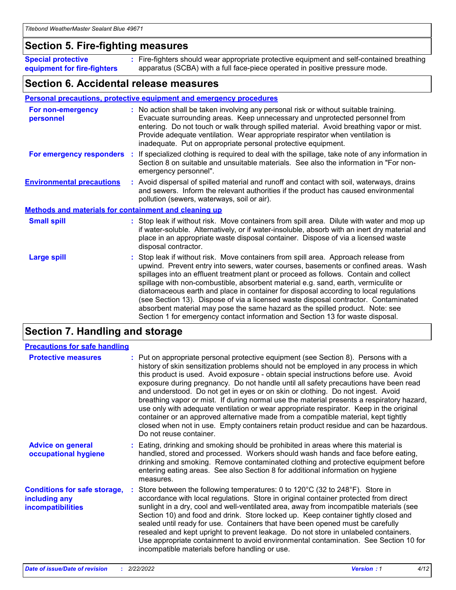### **Section 5. Fire-fighting measures**

**Special protective equipment for fire-fighters** Fire-fighters should wear appropriate protective equipment and self-contained breathing **:** apparatus (SCBA) with a full face-piece operated in positive pressure mode.

### **Section 6. Accidental release measures**

#### **Personal precautions, protective equipment and emergency procedures**

| For non-emergency<br>personnel                               |  | : No action shall be taken involving any personal risk or without suitable training.<br>Evacuate surrounding areas. Keep unnecessary and unprotected personnel from<br>entering. Do not touch or walk through spilled material. Avoid breathing vapor or mist.<br>Provide adequate ventilation. Wear appropriate respirator when ventilation is<br>inadequate. Put on appropriate personal protective equipment.                                                                                                                                                                                                                                                                                             |  |  |
|--------------------------------------------------------------|--|--------------------------------------------------------------------------------------------------------------------------------------------------------------------------------------------------------------------------------------------------------------------------------------------------------------------------------------------------------------------------------------------------------------------------------------------------------------------------------------------------------------------------------------------------------------------------------------------------------------------------------------------------------------------------------------------------------------|--|--|
|                                                              |  | For emergency responders : If specialized clothing is required to deal with the spillage, take note of any information in<br>Section 8 on suitable and unsuitable materials. See also the information in "For non-<br>emergency personnel".                                                                                                                                                                                                                                                                                                                                                                                                                                                                  |  |  |
| <b>Environmental precautions</b>                             |  | : Avoid dispersal of spilled material and runoff and contact with soil, waterways, drains<br>and sewers. Inform the relevant authorities if the product has caused environmental<br>pollution (sewers, waterways, soil or air).                                                                                                                                                                                                                                                                                                                                                                                                                                                                              |  |  |
| <b>Methods and materials for containment and cleaning up</b> |  |                                                                                                                                                                                                                                                                                                                                                                                                                                                                                                                                                                                                                                                                                                              |  |  |
| <b>Small spill</b>                                           |  | : Stop leak if without risk. Move containers from spill area. Dilute with water and mop up<br>if water-soluble. Alternatively, or if water-insoluble, absorb with an inert dry material and<br>place in an appropriate waste disposal container. Dispose of via a licensed waste<br>disposal contractor.                                                                                                                                                                                                                                                                                                                                                                                                     |  |  |
| <b>Large spill</b>                                           |  | : Stop leak if without risk. Move containers from spill area. Approach release from<br>upwind. Prevent entry into sewers, water courses, basements or confined areas. Wash<br>spillages into an effluent treatment plant or proceed as follows. Contain and collect<br>spillage with non-combustible, absorbent material e.g. sand, earth, vermiculite or<br>diatomaceous earth and place in container for disposal according to local regulations<br>(see Section 13). Dispose of via a licensed waste disposal contractor. Contaminated<br>absorbent material may pose the same hazard as the spilled product. Note: see<br>Section 1 for emergency contact information and Section 13 for waste disposal. |  |  |

### **Section 7. Handling and storage**

| <b>Precautions for safe handling</b>                                             |                                                                                                                                                                                                                                                                                                                                                                                                                                                                                                                                                                                                                                                                                                                                                                                                                                                  |
|----------------------------------------------------------------------------------|--------------------------------------------------------------------------------------------------------------------------------------------------------------------------------------------------------------------------------------------------------------------------------------------------------------------------------------------------------------------------------------------------------------------------------------------------------------------------------------------------------------------------------------------------------------------------------------------------------------------------------------------------------------------------------------------------------------------------------------------------------------------------------------------------------------------------------------------------|
| <b>Protective measures</b>                                                       | : Put on appropriate personal protective equipment (see Section 8). Persons with a<br>history of skin sensitization problems should not be employed in any process in which<br>this product is used. Avoid exposure - obtain special instructions before use. Avoid<br>exposure during pregnancy. Do not handle until all safety precautions have been read<br>and understood. Do not get in eyes or on skin or clothing. Do not ingest. Avoid<br>breathing vapor or mist. If during normal use the material presents a respiratory hazard,<br>use only with adequate ventilation or wear appropriate respirator. Keep in the original<br>container or an approved alternative made from a compatible material, kept tightly<br>closed when not in use. Empty containers retain product residue and can be hazardous.<br>Do not reuse container. |
| <b>Advice on general</b><br>occupational hygiene                                 | : Eating, drinking and smoking should be prohibited in areas where this material is<br>handled, stored and processed. Workers should wash hands and face before eating,<br>drinking and smoking. Remove contaminated clothing and protective equipment before<br>entering eating areas. See also Section 8 for additional information on hygiene<br>measures.                                                                                                                                                                                                                                                                                                                                                                                                                                                                                    |
| <b>Conditions for safe storage,</b><br>including any<br><b>incompatibilities</b> | Store between the following temperatures: 0 to 120 $\degree$ C (32 to 248 $\degree$ F). Store in<br>accordance with local regulations. Store in original container protected from direct<br>sunlight in a dry, cool and well-ventilated area, away from incompatible materials (see<br>Section 10) and food and drink. Store locked up. Keep container tightly closed and<br>sealed until ready for use. Containers that have been opened must be carefully<br>resealed and kept upright to prevent leakage. Do not store in unlabeled containers.<br>Use appropriate containment to avoid environmental contamination. See Section 10 for<br>incompatible materials before handling or use.                                                                                                                                                     |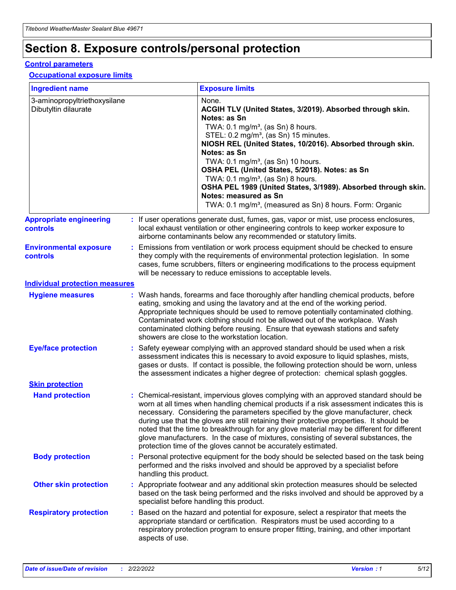## **Section 8. Exposure controls/personal protection**

#### **Control parameters**

#### **Occupational exposure limits**

| <b>Ingredient name</b>                               |    |                        | <b>Exposure limits</b>                                                                                                                                                                                                                                                                                                                                                                                                                                                                                                                                                                                                 |
|------------------------------------------------------|----|------------------------|------------------------------------------------------------------------------------------------------------------------------------------------------------------------------------------------------------------------------------------------------------------------------------------------------------------------------------------------------------------------------------------------------------------------------------------------------------------------------------------------------------------------------------------------------------------------------------------------------------------------|
| 3-aminopropyltriethoxysilane<br>Dibutyltin dilaurate |    |                        | None.<br>ACGIH TLV (United States, 3/2019). Absorbed through skin.<br>Notes: as Sn<br>TWA: $0.1 \text{ mg/m}^3$ , (as Sn) 8 hours.<br>STEL: 0.2 mg/m <sup>3</sup> , (as Sn) 15 minutes.<br>NIOSH REL (United States, 10/2016). Absorbed through skin.<br>Notes: as Sn<br>TWA: 0.1 mg/m <sup>3</sup> , (as Sn) 10 hours.<br>OSHA PEL (United States, 5/2018). Notes: as Sn<br>TWA: $0.1 \text{ mg/m}^3$ , (as Sn) 8 hours.<br>OSHA PEL 1989 (United States, 3/1989). Absorbed through skin.<br>Notes: measured as Sn<br>TWA: 0.1 mg/m <sup>3</sup> , (measured as Sn) 8 hours. Form: Organic                            |
| <b>Appropriate engineering</b><br>controls           |    |                        | : If user operations generate dust, fumes, gas, vapor or mist, use process enclosures,<br>local exhaust ventilation or other engineering controls to keep worker exposure to<br>airborne contaminants below any recommended or statutory limits.                                                                                                                                                                                                                                                                                                                                                                       |
| <b>Environmental exposure</b><br>controls            |    |                        | Emissions from ventilation or work process equipment should be checked to ensure<br>they comply with the requirements of environmental protection legislation. In some<br>cases, fume scrubbers, filters or engineering modifications to the process equipment<br>will be necessary to reduce emissions to acceptable levels.                                                                                                                                                                                                                                                                                          |
| <b>Individual protection measures</b>                |    |                        |                                                                                                                                                                                                                                                                                                                                                                                                                                                                                                                                                                                                                        |
| <b>Hygiene measures</b>                              |    |                        | : Wash hands, forearms and face thoroughly after handling chemical products, before<br>eating, smoking and using the lavatory and at the end of the working period.<br>Appropriate techniques should be used to remove potentially contaminated clothing.<br>Contaminated work clothing should not be allowed out of the workplace. Wash<br>contaminated clothing before reusing. Ensure that eyewash stations and safety<br>showers are close to the workstation location.                                                                                                                                            |
| <b>Eye/face protection</b>                           |    |                        | : Safety eyewear complying with an approved standard should be used when a risk<br>assessment indicates this is necessary to avoid exposure to liquid splashes, mists,<br>gases or dusts. If contact is possible, the following protection should be worn, unless<br>the assessment indicates a higher degree of protection: chemical splash goggles.                                                                                                                                                                                                                                                                  |
| <b>Skin protection</b>                               |    |                        |                                                                                                                                                                                                                                                                                                                                                                                                                                                                                                                                                                                                                        |
| <b>Hand protection</b>                               |    |                        | : Chemical-resistant, impervious gloves complying with an approved standard should be<br>worn at all times when handling chemical products if a risk assessment indicates this is<br>necessary. Considering the parameters specified by the glove manufacturer, check<br>during use that the gloves are still retaining their protective properties. It should be<br>noted that the time to breakthrough for any glove material may be different for different<br>glove manufacturers. In the case of mixtures, consisting of several substances, the<br>protection time of the gloves cannot be accurately estimated. |
| <b>Body protection</b>                               |    | handling this product. | Personal protective equipment for the body should be selected based on the task being<br>performed and the risks involved and should be approved by a specialist before                                                                                                                                                                                                                                                                                                                                                                                                                                                |
| <b>Other skin protection</b>                         |    |                        | : Appropriate footwear and any additional skin protection measures should be selected<br>based on the task being performed and the risks involved and should be approved by a<br>specialist before handling this product.                                                                                                                                                                                                                                                                                                                                                                                              |
| <b>Respiratory protection</b>                        | ÷. | aspects of use.        | Based on the hazard and potential for exposure, select a respirator that meets the<br>appropriate standard or certification. Respirators must be used according to a<br>respiratory protection program to ensure proper fitting, training, and other important                                                                                                                                                                                                                                                                                                                                                         |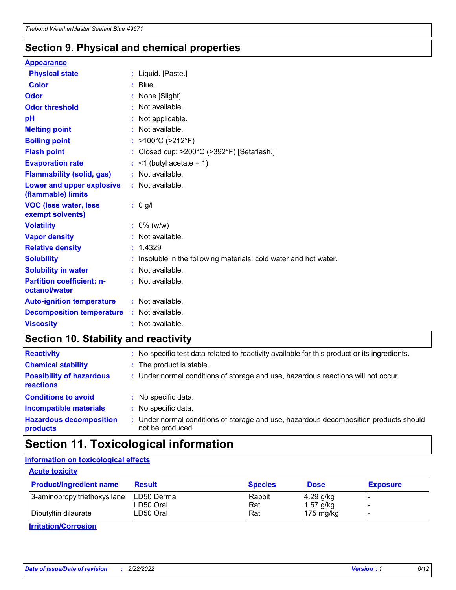### **Section 9. Physical and chemical properties**

#### **Appearance**

| <b>Physical state</b>                             | : Liquid. [Paste.]                                              |
|---------------------------------------------------|-----------------------------------------------------------------|
| <b>Color</b>                                      | $:$ Blue.                                                       |
| Odor                                              | None [Slight]                                                   |
| <b>Odor threshold</b>                             | $:$ Not available.                                              |
| рH                                                | : Not applicable.                                               |
| <b>Melting point</b>                              | : Not available.                                                |
| <b>Boiling point</b>                              | : >100°C (>212°F)                                               |
| <b>Flash point</b>                                | : Closed cup: >200°C (>392°F) [Setaflash.]                      |
| <b>Evaporation rate</b>                           | $:$ <1 (butyl acetate = 1)                                      |
| <b>Flammability (solid, gas)</b>                  | : Not available.                                                |
| Lower and upper explosive<br>(flammable) limits   | : Not available.                                                |
| <b>VOC (less water, less</b>                      | $: 0$ g/l                                                       |
| exempt solvents)                                  |                                                                 |
| <b>Volatility</b>                                 | $: 0\%$ (w/w)                                                   |
| <b>Vapor density</b>                              | : Not available.                                                |
| <b>Relative density</b>                           | : 1.4329                                                        |
| <b>Solubility</b>                                 | Insoluble in the following materials: cold water and hot water. |
| <b>Solubility in water</b>                        | : Not available.                                                |
| <b>Partition coefficient: n-</b><br>octanol/water | $:$ Not available.                                              |
| <b>Auto-ignition temperature</b>                  | : Not available.                                                |
| <b>Decomposition temperature</b>                  | : Not available.                                                |

### **Section 10. Stability and reactivity**

| <b>Reactivity</b>                            | : No specific test data related to reactivity available for this product or its ingredients.            |
|----------------------------------------------|---------------------------------------------------------------------------------------------------------|
| <b>Chemical stability</b>                    | : The product is stable.                                                                                |
| <b>Possibility of hazardous</b><br>reactions | : Under normal conditions of storage and use, hazardous reactions will not occur.                       |
| <b>Conditions to avoid</b>                   | : No specific data.                                                                                     |
| <b>Incompatible materials</b>                | : No specific data.                                                                                     |
| <b>Hazardous decomposition</b><br>products   | Under normal conditions of storage and use, hazardous decomposition products should<br>not be produced. |

## **Section 11. Toxicological information**

### **Information on toxicological effects**

#### **Acute toxicity**

| <b>Product/ingredient name</b> | <b>Result</b>           | <b>Species</b> | <b>Dose</b>                | <b>Exposure</b> |
|--------------------------------|-------------------------|----------------|----------------------------|-----------------|
| 3-aminopropyltriethoxysilane   | <b>ILD50 Dermal</b>     | Rabbit         | 4.29 g/kg                  |                 |
| Dibutyltin dilaurate           | ILD50 Oral<br>LD50 Oral | Rat<br>Rat     | $1.57$ g/kg<br>175 $mg/kg$ |                 |
|                                |                         |                |                            |                 |

**Irritation/Corrosion**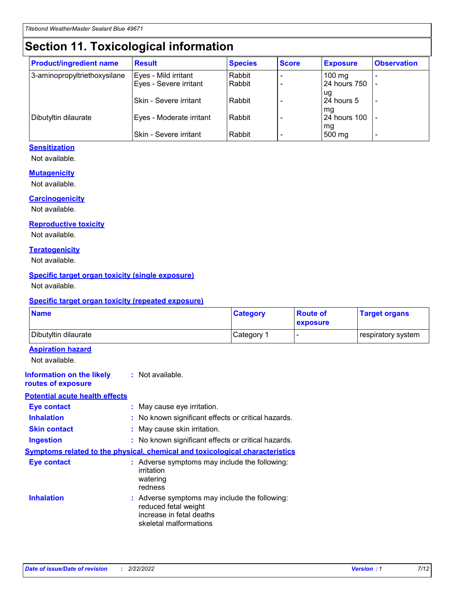## **Section 11. Toxicological information**

| <b>Product/ingredient name</b> | <b>Result</b>            | <b>Species</b> | <b>Score</b> | <b>Exposure</b>           | <b>Observation</b> |
|--------------------------------|--------------------------|----------------|--------------|---------------------------|--------------------|
| 3-aminopropyltriethoxysilane   | Eyes - Mild irritant     | Rabbit         |              | $100$ mg                  |                    |
|                                | Eyes - Severe irritant   | Rabbit         |              | 24 hours 750              |                    |
|                                |                          |                |              | ug                        |                    |
|                                | Skin - Severe irritant   | Rabbit         |              | 24 hours 5                | -                  |
| Dibutyltin dilaurate           | Eyes - Moderate irritant | Rabbit         |              | mq<br><b>24 hours 100</b> |                    |
|                                |                          |                |              | mg                        |                    |
|                                | Skin - Severe irritant   | Rabbit         |              | 500 mg                    |                    |

#### **Sensitization**

Not available.

#### **Mutagenicity**

Not available.

#### **Carcinogenicity**

Not available.

#### **Reproductive toxicity**

Not available.

#### **Teratogenicity**

Not available.

#### **Specific target organ toxicity (single exposure)**

Not available.

#### **Specific target organ toxicity (repeated exposure)**

| <b>Name</b>                                                                         |                                                                            | <b>Category</b>                                     | <b>Route of</b><br>exposure | <b>Target organs</b> |
|-------------------------------------------------------------------------------------|----------------------------------------------------------------------------|-----------------------------------------------------|-----------------------------|----------------------|
| Dibutyltin dilaurate                                                                |                                                                            | Category 1                                          |                             | respiratory system   |
| <b>Aspiration hazard</b><br>Not available.                                          |                                                                            |                                                     |                             |                      |
| <b>Information on the likely</b><br>routes of exposure                              | : Not available.                                                           |                                                     |                             |                      |
| <b>Potential acute health effects</b>                                               |                                                                            |                                                     |                             |                      |
| <b>Eye contact</b>                                                                  | : May cause eye irritation.                                                |                                                     |                             |                      |
| <b>Inhalation</b>                                                                   |                                                                            | : No known significant effects or critical hazards. |                             |                      |
| <b>Skin contact</b>                                                                 | : May cause skin irritation.                                               |                                                     |                             |                      |
| <b>Ingestion</b>                                                                    |                                                                            | : No known significant effects or critical hazards. |                             |                      |
| <b>Symptoms related to the physical, chemical and toxicological characteristics</b> |                                                                            |                                                     |                             |                      |
| <b>Eye contact</b>                                                                  | irritation<br>watering<br>redness                                          | : Adverse symptoms may include the following:       |                             |                      |
| <b>Inhalation</b>                                                                   | reduced fetal weight<br>increase in fetal deaths<br>skeletal malformations | : Adverse symptoms may include the following:       |                             |                      |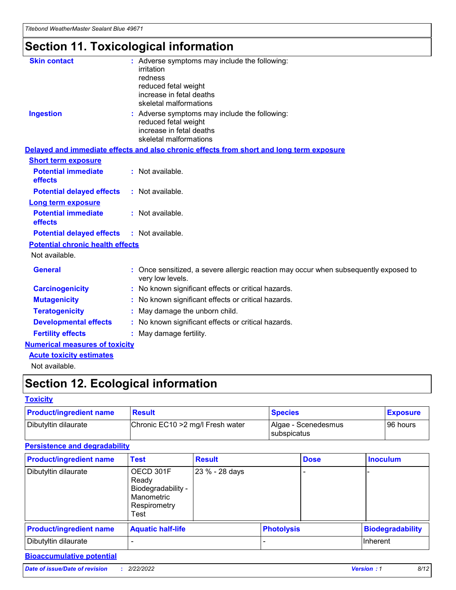## **Section 11. Toxicological information**

| <b>Skin contact</b>                     | : Adverse symptoms may include the following:<br>irritation<br>redness<br>reduced fetal weight<br>increase in fetal deaths<br>skeletal malformations |
|-----------------------------------------|------------------------------------------------------------------------------------------------------------------------------------------------------|
| <b>Ingestion</b>                        | : Adverse symptoms may include the following:<br>reduced fetal weight<br>increase in fetal deaths<br>skeletal malformations                          |
|                                         | Delayed and immediate effects and also chronic effects from short and long term exposure                                                             |
| <b>Short term exposure</b>              |                                                                                                                                                      |
| <b>Potential immediate</b><br>effects   | : Not available.                                                                                                                                     |
| <b>Potential delayed effects</b>        | : Not available.                                                                                                                                     |
| <b>Long term exposure</b>               |                                                                                                                                                      |
| <b>Potential immediate</b><br>effects   | : Not available.                                                                                                                                     |
| <b>Potential delayed effects</b>        | : Not available.                                                                                                                                     |
| <b>Potential chronic health effects</b> |                                                                                                                                                      |
| Not available.                          |                                                                                                                                                      |
| <b>General</b>                          | : Once sensitized, a severe allergic reaction may occur when subsequently exposed to<br>very low levels.                                             |
| <b>Carcinogenicity</b>                  | : No known significant effects or critical hazards.                                                                                                  |
| <b>Mutagenicity</b>                     | No known significant effects or critical hazards.                                                                                                    |
| <b>Teratogenicity</b>                   | May damage the unborn child.                                                                                                                         |
| <b>Developmental effects</b>            | No known significant effects or critical hazards.                                                                                                    |
| <b>Fertility effects</b>                | : May damage fertility.                                                                                                                              |
| <b>Numerical measures of toxicity</b>   |                                                                                                                                                      |
| <b>Acute toxicity estimates</b>         |                                                                                                                                                      |
|                                         |                                                                                                                                                      |

Not available.

## **Section 12. Ecological information**

#### **Toxicity**

| <b>Product/ingredient name</b> | <b>Result</b>                     | <b>Species</b>                       | <b>Exposure</b> |
|--------------------------------|-----------------------------------|--------------------------------------|-----------------|
| Dibutyltin dilaurate           | Chronic EC10 > 2 mg/l Fresh water | Algae - Scenedesmus<br>I subspicatus | l 96 hours i    |

### **Persistence and degradability**

| <b>Product/ingredient name</b> | <b>Test</b>                                                                    | <b>Result</b>  |                   | <b>Dose</b> | <b>Inoculum</b>         |
|--------------------------------|--------------------------------------------------------------------------------|----------------|-------------------|-------------|-------------------------|
| Dibutyltin dilaurate           | OECD 301F<br>Ready<br>Biodegradability -<br>Manometric<br>Respirometry<br>Test | 23 % - 28 days |                   |             |                         |
| <b>Product/ingredient name</b> | <b>Aquatic half-life</b>                                                       |                | <b>Photolysis</b> |             | <b>Biodegradability</b> |
| Dibutyltin dilaurate           |                                                                                |                |                   |             | Inherent                |

### **Bioaccumulative potential**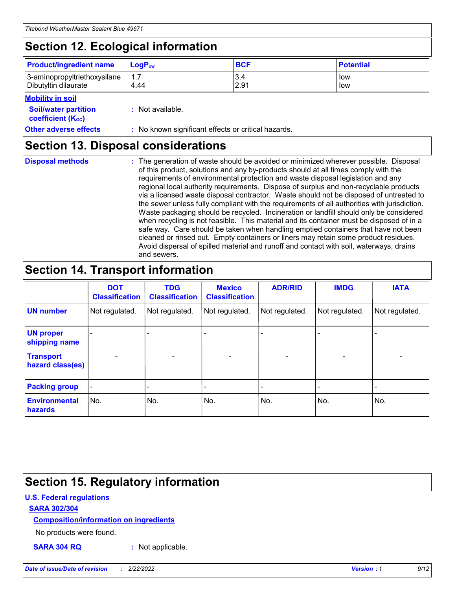## **Section 12. Ecological information**

| <b>Product/ingredient name</b>                       | ∣LoqP <sub>ow</sub> | <b>BCF</b>  | <b>Potential</b> |
|------------------------------------------------------|---------------------|-------------|------------------|
| 3-aminopropyltriethoxysilane<br>Dibutyltin dilaurate | 4.44                | 3.4<br>2.91 | low<br>low       |

#### **Mobility in soil**

| <b>Soil/water partition</b><br>coefficient (K <sub>oc</sub> ) | : Not available.                                    |
|---------------------------------------------------------------|-----------------------------------------------------|
| <b>Other adverse effects</b>                                  | : No known significant effects or critical hazards. |

### **Section 13. Disposal considerations**

|  | <b>Disposal methods</b> |  |
|--|-------------------------|--|

**Disposal methods** : The generation of waste should be avoided or minimized wherever possible. Disposal of this product, solutions and any by-products should at all times comply with the requirements of environmental protection and waste disposal legislation and any regional local authority requirements. Dispose of surplus and non-recyclable products via a licensed waste disposal contractor. Waste should not be disposed of untreated to the sewer unless fully compliant with the requirements of all authorities with jurisdiction. Waste packaging should be recycled. Incineration or landfill should only be considered when recycling is not feasible. This material and its container must be disposed of in a safe way. Care should be taken when handling emptied containers that have not been cleaned or rinsed out. Empty containers or liners may retain some product residues. Avoid dispersal of spilled material and runoff and contact with soil, waterways, drains and sewers.

## **Section 14. Transport information**

|                                      | <b>DOT</b><br><b>Classification</b> | <b>TDG</b><br><b>Classification</b> | <b>Mexico</b><br><b>Classification</b> | <b>ADR/RID</b>           | <b>IMDG</b>              | <b>IATA</b>              |
|--------------------------------------|-------------------------------------|-------------------------------------|----------------------------------------|--------------------------|--------------------------|--------------------------|
| <b>UN number</b>                     | Not regulated.                      | Not regulated.                      | Not regulated.                         | Not regulated.           | Not regulated.           | Not regulated.           |
| <b>UN proper</b><br>shipping name    | $\qquad \qquad \blacksquare$        |                                     |                                        |                          |                          |                          |
| <b>Transport</b><br>hazard class(es) | $\blacksquare$                      | $\blacksquare$                      | $\blacksquare$                         | $\overline{\phantom{a}}$ | $\blacksquare$           | $\blacksquare$           |
| <b>Packing group</b>                 | $\overline{\phantom{a}}$            | $\overline{\phantom{0}}$            | $\qquad \qquad \blacksquare$           | -                        | $\overline{\phantom{0}}$ | $\overline{\phantom{a}}$ |
| <b>Environmental</b><br>hazards      | No.                                 | No.                                 | No.                                    | No.                      | No.                      | No.                      |

## **Section 15. Regulatory information**

#### **U.S. Federal regulations**

#### **SARA 302/304**

#### **Composition/information on ingredients**

No products were found.

**SARA 304 RQ :** Not applicable.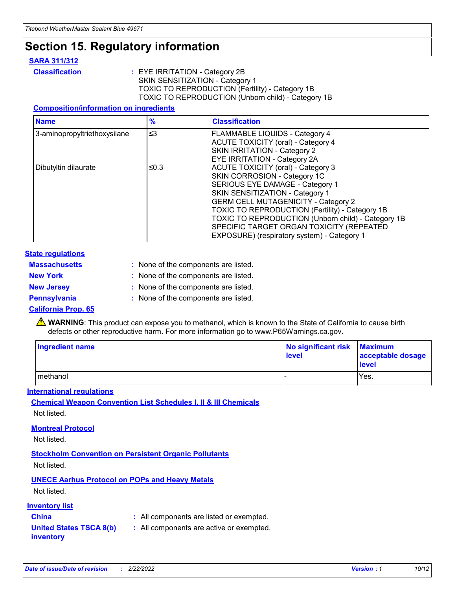## **Section 15. Regulatory information**

#### **SARA 311/312**

**Classification :** EYE IRRITATION - Category 2B SKIN SENSITIZATION - Category 1 TOXIC TO REPRODUCTION (Fertility) - Category 1B TOXIC TO REPRODUCTION (Unborn child) - Category 1B

#### **Composition/information on ingredients**

| <b>Name</b>                  | $\frac{9}{6}$ | <b>Classification</b>                                                                                            |
|------------------------------|---------------|------------------------------------------------------------------------------------------------------------------|
| 3-aminopropyltriethoxysilane | $\leq$ 3      | <b>FLAMMABLE LIQUIDS - Category 4</b><br><b>ACUTE TOXICITY (oral) - Category 4</b>                               |
|                              |               | SKIN IRRITATION - Category 2<br>EYE IRRITATION - Category 2A                                                     |
| Dibutyltin dilaurate         | ≤0.3          | ACUTE TOXICITY (oral) - Category 3<br>SKIN CORROSION - Category 1C                                               |
|                              |               | SERIOUS EYE DAMAGE - Category 1<br>SKIN SENSITIZATION - Category 1<br><b>GERM CELL MUTAGENICITY - Category 2</b> |
|                              |               | TOXIC TO REPRODUCTION (Fertility) - Category 1B<br>TOXIC TO REPRODUCTION (Unborn child) - Category 1B            |
|                              |               | SPECIFIC TARGET ORGAN TOXICITY (REPEATED<br>EXPOSURE) (respiratory system) - Category 1                          |

#### **State regulations**

| <b>Massachusetts</b> | : None of the components are listed. |
|----------------------|--------------------------------------|
| <b>New York</b>      | : None of the components are listed. |
| <b>New Jersey</b>    | : None of the components are listed. |
| <b>Pennsylvania</b>  | : None of the components are listed. |

#### **California Prop. 65**

**A** WARNING: This product can expose you to methanol, which is known to the State of California to cause birth defects or other reproductive harm. For more information go to www.P65Warnings.ca.gov.

| <b>Ingredient name</b> | No significant risk Maximum<br>level | acceptable dosage<br>level |
|------------------------|--------------------------------------|----------------------------|
| methanol               |                                      | Yes.                       |

#### **International regulations**

**Chemical Weapon Convention List Schedules I, II & III Chemicals** Not listed.

#### **Montreal Protocol**

Not listed.

#### **Stockholm Convention on Persistent Organic Pollutants**

Not listed.

### **UNECE Aarhus Protocol on POPs and Heavy Metals**

Not listed.

#### **Inventory list**

### **China :** All components are listed or exempted.

**United States TSCA 8(b) inventory :** All components are active or exempted.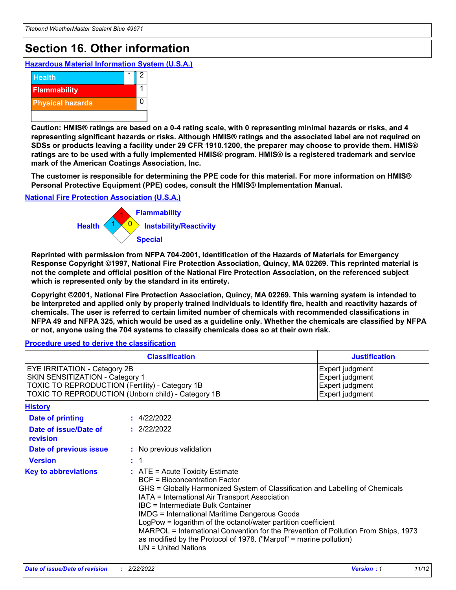## **Section 16. Other information**

**Hazardous Material Information System (U.S.A.)**



**Caution: HMIS® ratings are based on a 0-4 rating scale, with 0 representing minimal hazards or risks, and 4 representing significant hazards or risks. Although HMIS® ratings and the associated label are not required on SDSs or products leaving a facility under 29 CFR 1910.1200, the preparer may choose to provide them. HMIS® ratings are to be used with a fully implemented HMIS® program. HMIS® is a registered trademark and service mark of the American Coatings Association, Inc.**

**The customer is responsible for determining the PPE code for this material. For more information on HMIS® Personal Protective Equipment (PPE) codes, consult the HMIS® Implementation Manual.**

#### **National Fire Protection Association (U.S.A.)**



**Reprinted with permission from NFPA 704-2001, Identification of the Hazards of Materials for Emergency Response Copyright ©1997, National Fire Protection Association, Quincy, MA 02269. This reprinted material is not the complete and official position of the National Fire Protection Association, on the referenced subject which is represented only by the standard in its entirety.**

**Copyright ©2001, National Fire Protection Association, Quincy, MA 02269. This warning system is intended to be interpreted and applied only by properly trained individuals to identify fire, health and reactivity hazards of chemicals. The user is referred to certain limited number of chemicals with recommended classifications in NFPA 49 and NFPA 325, which would be used as a guideline only. Whether the chemicals are classified by NFPA or not, anyone using the 704 systems to classify chemicals does so at their own risk.**

#### **Procedure used to derive the classification**

|                                                                                                                                                                          | <b>Classification</b>                                                                                                                                                                                                                                                                                                                                                                                                                                                                                                                                                    | <b>Justification</b>                                                     |  |
|--------------------------------------------------------------------------------------------------------------------------------------------------------------------------|--------------------------------------------------------------------------------------------------------------------------------------------------------------------------------------------------------------------------------------------------------------------------------------------------------------------------------------------------------------------------------------------------------------------------------------------------------------------------------------------------------------------------------------------------------------------------|--------------------------------------------------------------------------|--|
| EYE IRRITATION - Category 2B<br>SKIN SENSITIZATION - Category 1<br>TOXIC TO REPRODUCTION (Fertility) - Category 1B<br>TOXIC TO REPRODUCTION (Unborn child) - Category 1B |                                                                                                                                                                                                                                                                                                                                                                                                                                                                                                                                                                          | Expert judgment<br>Expert judgment<br>Expert judgment<br>Expert judgment |  |
| <b>History</b>                                                                                                                                                           |                                                                                                                                                                                                                                                                                                                                                                                                                                                                                                                                                                          |                                                                          |  |
| <b>Date of printing</b>                                                                                                                                                  | : 4/22/2022                                                                                                                                                                                                                                                                                                                                                                                                                                                                                                                                                              |                                                                          |  |
| Date of issue/Date of<br>revision                                                                                                                                        | : 2/22/2022                                                                                                                                                                                                                                                                                                                                                                                                                                                                                                                                                              |                                                                          |  |
| Date of previous issue                                                                                                                                                   | : No previous validation                                                                                                                                                                                                                                                                                                                                                                                                                                                                                                                                                 |                                                                          |  |
| <b>Version</b>                                                                                                                                                           | $\therefore$ 1                                                                                                                                                                                                                                                                                                                                                                                                                                                                                                                                                           |                                                                          |  |
| <b>Key to abbreviations</b>                                                                                                                                              | $\therefore$ ATE = Acute Toxicity Estimate<br><b>BCF = Bioconcentration Factor</b><br>GHS = Globally Harmonized System of Classification and Labelling of Chemicals<br>IATA = International Air Transport Association<br>IBC = Intermediate Bulk Container<br><b>IMDG = International Maritime Dangerous Goods</b><br>LogPow = logarithm of the octanol/water partition coefficient<br>MARPOL = International Convention for the Prevention of Pollution From Ships, 1973<br>as modified by the Protocol of 1978. ("Marpol" = marine pollution)<br>$UN = United Nations$ |                                                                          |  |